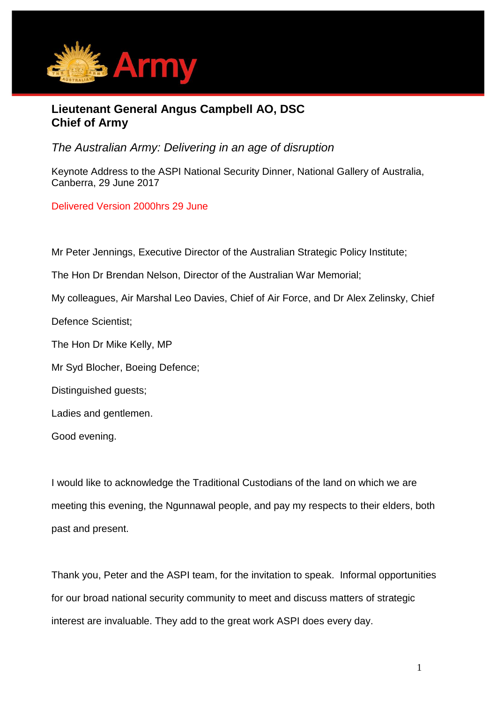

## **Lieutenant General Angus Campbell AO, DSC Chief of Army**

*The Australian Army: Delivering in an age of disruption*

Keynote Address to the ASPI National Security Dinner, National Gallery of Australia, Canberra, 29 June 2017

Delivered Version 2000hrs 29 June

Mr Peter Jennings, Executive Director of the Australian Strategic Policy Institute;

The Hon Dr Brendan Nelson, Director of the Australian War Memorial;

My colleagues, Air Marshal Leo Davies, Chief of Air Force, and Dr Alex Zelinsky, Chief

Defence Scientist;

The Hon Dr Mike Kelly, MP

Mr Syd Blocher, Boeing Defence;

Distinguished guests;

Ladies and gentlemen.

Good evening.

I would like to acknowledge the Traditional Custodians of the land on which we are meeting this evening, the Ngunnawal people, and pay my respects to their elders, both past and present.

Thank you, Peter and the ASPI team, for the invitation to speak. Informal opportunities for our broad national security community to meet and discuss matters of strategic interest are invaluable. They add to the great work ASPI does every day.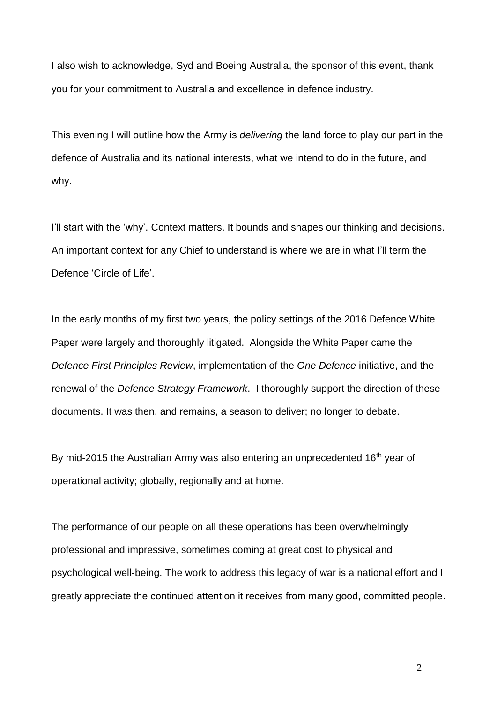I also wish to acknowledge, Syd and Boeing Australia, the sponsor of this event, thank you for your commitment to Australia and excellence in defence industry.

This evening I will outline how the Army is *delivering* the land force to play our part in the defence of Australia and its national interests, what we intend to do in the future, and why.

I'll start with the 'why'. Context matters. It bounds and shapes our thinking and decisions. An important context for any Chief to understand is where we are in what I'll term the Defence 'Circle of Life'.

In the early months of my first two years, the policy settings of the 2016 Defence White Paper were largely and thoroughly litigated. Alongside the White Paper came the *Defence First Principles Review*, implementation of the *One Defence* initiative, and the renewal of the *Defence Strategy Framework*. I thoroughly support the direction of these documents. It was then, and remains, a season to deliver; no longer to debate.

By mid-2015 the Australian Army was also entering an unprecedented 16<sup>th</sup> year of operational activity; globally, regionally and at home.

The performance of our people on all these operations has been overwhelmingly professional and impressive, sometimes coming at great cost to physical and psychological well-being. The work to address this legacy of war is a national effort and I greatly appreciate the continued attention it receives from many good, committed people.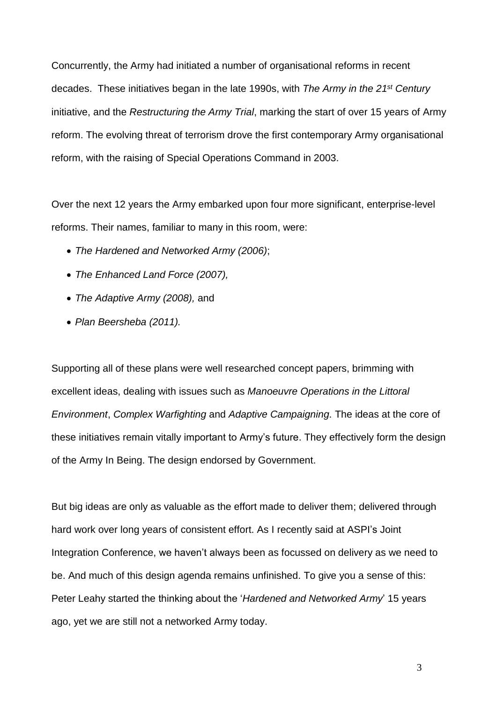Concurrently, the Army had initiated a number of organisational reforms in recent decades. These initiatives began in the late 1990s, with *The Army in the 21st Century*  initiative, and the *Restructuring the Army Trial*, marking the start of over 15 years of Army reform. The evolving threat of terrorism drove the first contemporary Army organisational reform, with the raising of Special Operations Command in 2003.

Over the next 12 years the Army embarked upon four more significant, enterprise-level reforms. Their names, familiar to many in this room, were:

- *The Hardened and Networked Army (2006)*;
- *The Enhanced Land Force (2007),*
- *The Adaptive Army (2008),* and
- *Plan Beersheba (2011).*

Supporting all of these plans were well researched concept papers, brimming with excellent ideas, dealing with issues such as *Manoeuvre Operations in the Littoral Environment*, *Complex Warfighting* and *Adaptive Campaigning.* The ideas at the core of these initiatives remain vitally important to Army's future. They effectively form the design of the Army In Being. The design endorsed by Government.

But big ideas are only as valuable as the effort made to deliver them; delivered through hard work over long years of consistent effort. As I recently said at ASPI's Joint Integration Conference, we haven't always been as focussed on delivery as we need to be. And much of this design agenda remains unfinished. To give you a sense of this: Peter Leahy started the thinking about the '*Hardened and Networked Army*' 15 years ago, yet we are still not a networked Army today.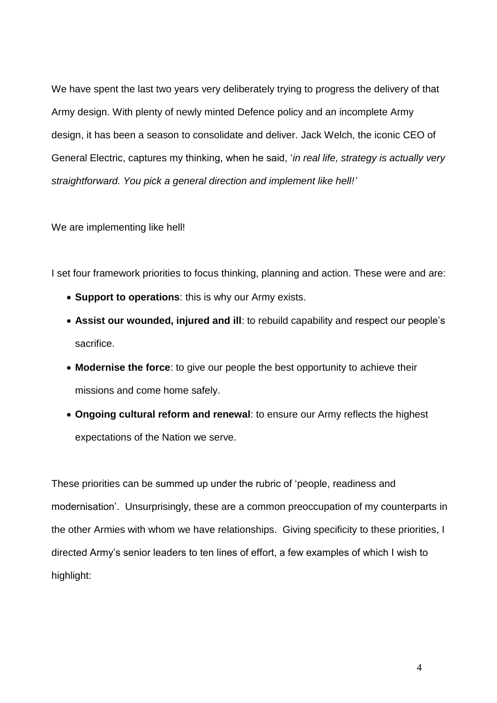We have spent the last two years very deliberately trying to progress the delivery of that Army design. With plenty of newly minted Defence policy and an incomplete Army design, it has been a season to consolidate and deliver. Jack Welch, the iconic CEO of General Electric, captures my thinking, when he said, '*in real life, strategy is actually very straightforward. You pick a general direction and implement like hell!'*

We are implementing like hell!

I set four framework priorities to focus thinking, planning and action. These were and are:

- **Support to operations**: this is why our Army exists.
- **Assist our wounded, injured and ill**: to rebuild capability and respect our people's sacrifice.
- **Modernise the force**: to give our people the best opportunity to achieve their missions and come home safely.
- **Ongoing cultural reform and renewal**: to ensure our Army reflects the highest expectations of the Nation we serve.

These priorities can be summed up under the rubric of 'people, readiness and modernisation'. Unsurprisingly, these are a common preoccupation of my counterparts in the other Armies with whom we have relationships. Giving specificity to these priorities, I directed Army's senior leaders to ten lines of effort, a few examples of which I wish to highlight: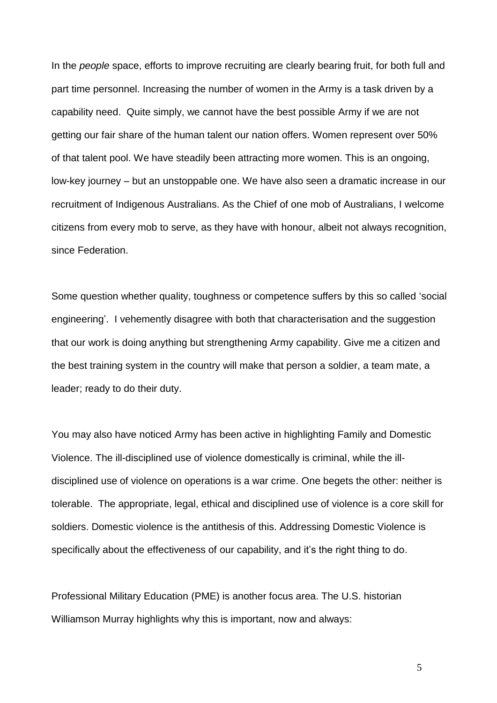In the *people* space, efforts to improve recruiting are clearly bearing fruit, for both full and part time personnel. Increasing the number of women in the Army is a task driven by a capability need. Quite simply, we cannot have the best possible Army if we are not getting our fair share of the human talent our nation offers. Women represent over 50% of that talent pool. We have steadily been attracting more women. This is an ongoing, low-key journey – but an unstoppable one. We have also seen a dramatic increase in our recruitment of Indigenous Australians. As the Chief of one mob of Australians, I welcome citizens from every mob to serve, as they have with honour, albeit not always recognition, since Federation.

Some question whether quality, toughness or competence suffers by this so called 'social engineering'. I vehemently disagree with both that characterisation and the suggestion that our work is doing anything but strengthening Army capability. Give me a citizen and the best training system in the country will make that person a soldier, a team mate, a leader; ready to do their duty.

You may also have noticed Army has been active in highlighting Family and Domestic Violence. The ill-disciplined use of violence domestically is criminal, while the illdisciplined use of violence on operations is a war crime. One begets the other: neither is tolerable. The appropriate, legal, ethical and disciplined use of violence is a core skill for soldiers. Domestic violence is the antithesis of this. Addressing Domestic Violence is specifically about the effectiveness of our capability, and it's the right thing to do.

Professional Military Education (PME) is another focus area. The U.S. historian Williamson Murray highlights why this is important, now and always: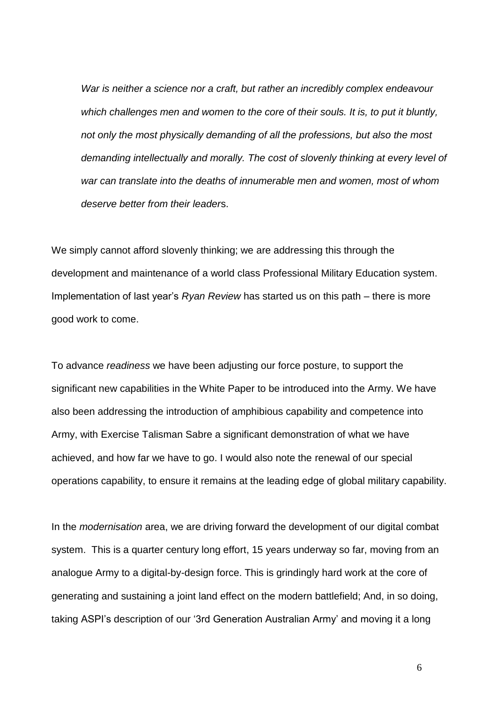*War is neither a science nor a craft, but rather an incredibly complex endeavour which challenges men and women to the core of their souls. It is, to put it bluntly, not only the most physically demanding of all the professions, but also the most demanding intellectually and morally. The cost of slovenly thinking at every level of war can translate into the deaths of innumerable men and women, most of whom deserve better from their leader*s.

We simply cannot afford slovenly thinking; we are addressing this through the development and maintenance of a world class Professional Military Education system. Implementation of last year's *Ryan Review* has started us on this path – there is more good work to come.

To advance *readiness* we have been adjusting our force posture, to support the significant new capabilities in the White Paper to be introduced into the Army. We have also been addressing the introduction of amphibious capability and competence into Army, with Exercise Talisman Sabre a significant demonstration of what we have achieved, and how far we have to go. I would also note the renewal of our special operations capability, to ensure it remains at the leading edge of global military capability.

In the *modernisation* area, we are driving forward the development of our digital combat system. This is a quarter century long effort, 15 years underway so far, moving from an analogue Army to a digital-by-design force. This is grindingly hard work at the core of generating and sustaining a joint land effect on the modern battlefield; And, in so doing, taking ASPI's description of our '3rd Generation Australian Army' and moving it a long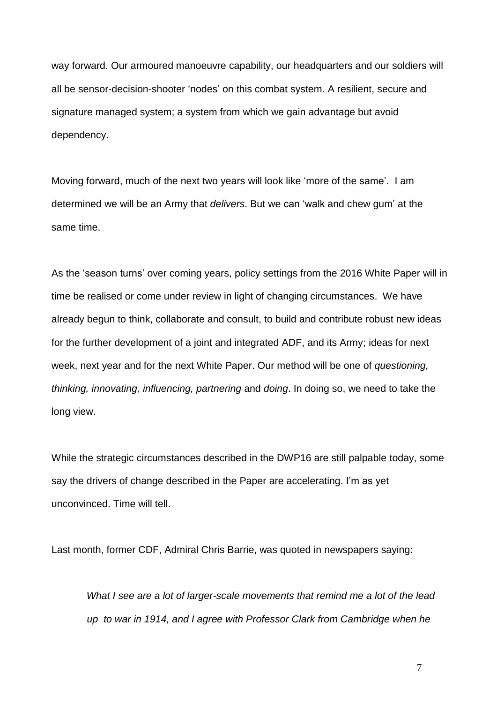way forward. Our armoured manoeuvre capability, our headquarters and our soldiers will all be sensor-decision-shooter 'nodes' on this combat system. A resilient, secure and signature managed system; a system from which we gain advantage but avoid dependency.

Moving forward, much of the next two years will look like 'more of the same'. I am determined we will be an Army that *delivers*. But we can 'walk and chew gum' at the same time.

As the 'season turns' over coming years, policy settings from the 2016 White Paper will in time be realised or come under review in light of changing circumstances. We have already begun to think, collaborate and consult, to build and contribute robust new ideas for the further development of a joint and integrated ADF, and its Army; ideas for next week, next year and for the next White Paper. Our method will be one of *questioning, thinking, innovating, influencing, partnering* and *doing*. In doing so, we need to take the long view.

While the strategic circumstances described in the DWP16 are still palpable today, some say the drivers of change described in the Paper are accelerating. I'm as yet unconvinced. Time will tell.

Last month, former CDF, Admiral Chris Barrie, was quoted in newspapers saying:

*What I see are a lot of larger-scale movements that remind me a lot of the lead up to war in 1914, and I agree with Professor Clark from Cambridge when he*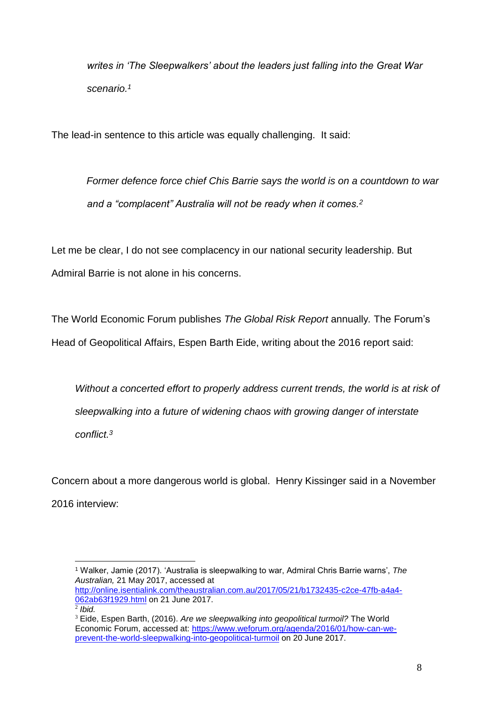*writes in 'The Sleepwalkers' about the leaders just falling into the Great War scenario.<sup>1</sup>*

The lead-in sentence to this article was equally challenging. It said:

*Former defence force chief Chis Barrie says the world is on a countdown to war and a "complacent" Australia will not be ready when it comes.<sup>2</sup>*

Let me be clear, I do not see complacency in our national security leadership. But Admiral Barrie is not alone in his concerns.

The World Economic Forum publishes *The Global Risk Report* annually*.* The Forum's Head of Geopolitical Affairs, Espen Barth Eide, writing about the 2016 report said:

Without a concerted effort to properly address current trends, the world is at risk of *sleepwalking into a future of widening chaos with growing danger of interstate conflict.<sup>3</sup>*

Concern about a more dangerous world is global. Henry Kissinger said in a November 2016 interview:

<sup>1</sup> Walker, Jamie (2017). 'Australia is sleepwalking to war, Admiral Chris Barrie warns', *The Australian,* 21 May 2017, accessed at [http://online.isentialink.com/theaustralian.com.au/2017/05/21/b1732435-c2ce-47fb-a4a4-](http://online.isentialink.com/theaustralian.com.au/2017/05/21/b1732435-c2ce-47fb-a4a4-062ab63f1929.html)

[<sup>062</sup>ab63f1929.html](http://online.isentialink.com/theaustralian.com.au/2017/05/21/b1732435-c2ce-47fb-a4a4-062ab63f1929.html) on 21 June 2017.

<sup>2</sup> *Ibid.*

<sup>3</sup> Eide, Espen Barth, (2016). *Are we sleepwalking into geopolitical turmoil?* The World Economic Forum, accessed at: [https://www.weforum.org/agenda/2016/01/how-can-we](https://www.weforum.org/agenda/2016/01/how-can-we-prevent-the-world-sleepwalking-into-geopolitical-turmoil)[prevent-the-world-sleepwalking-into-geopolitical-turmoil](https://www.weforum.org/agenda/2016/01/how-can-we-prevent-the-world-sleepwalking-into-geopolitical-turmoil) on 20 June 2017.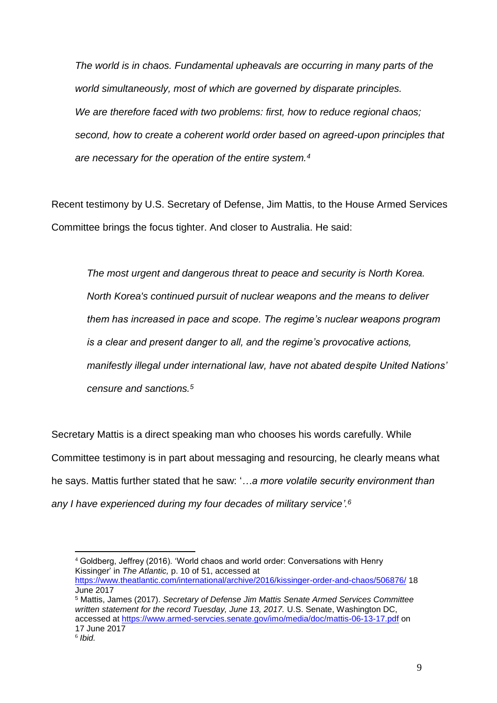*The world is in chaos. Fundamental upheavals are occurring in many parts of the world simultaneously, most of which are governed by disparate principles. We are therefore faced with two problems: first, how to reduce regional chaos; second, how to create a coherent world order based on agreed-upon principles that are necessary for the operation of the entire system.<sup>4</sup>*

Recent testimony by U.S. Secretary of Defense, Jim Mattis, to the House Armed Services Committee brings the focus tighter. And closer to Australia. He said:

*The most urgent and dangerous threat to peace and security is North Korea. North Korea's continued pursuit of nuclear weapons and the means to deliver them has increased in pace and scope. The regime's nuclear weapons program is a clear and present danger to all, and the regime's provocative actions, manifestly illegal under international law, have not abated despite United Nations' censure and sanctions.<sup>5</sup>*

Secretary Mattis is a direct speaking man who chooses his words carefully. While Committee testimony is in part about messaging and resourcing, he clearly means what he says. Mattis further stated that he saw: '*…a more volatile security environment than any I have experienced during my four decades of military service'. 6*

<sup>&</sup>lt;u>.</u> <sup>4</sup> Goldberg, Jeffrey (2016). 'World chaos and world order: Conversations with Henry Kissinger' in *The Atlantic,* p. 10 of 51, accessed at <https://www.theatlantic.com/international/archive/2016/kissinger-order-and-chaos/506876/> 18 June 2017

<sup>5</sup> Mattis, James (2017). *Secretary of Defense Jim Mattis Senate Armed Services Committee written statement for the record Tuesday, June 13, 2017.* U.S. Senate, Washington DC, accessed at<https://www.armed-servcies.senate.gov/imo/media/doc/mattis-06-13-17.pdf> on 17 June 2017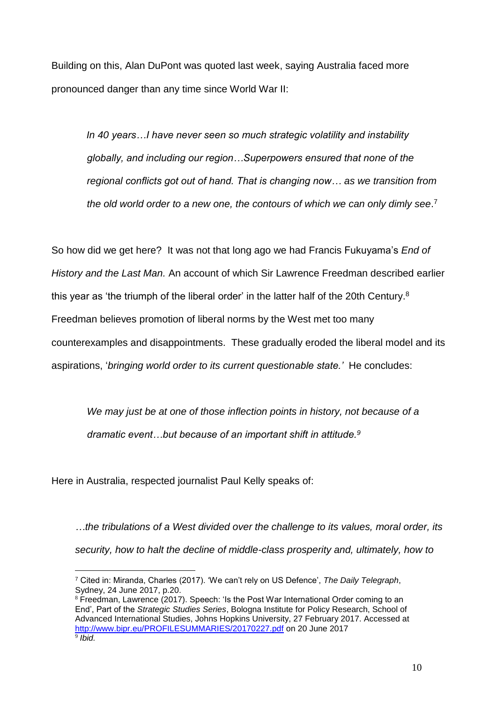Building on this, Alan DuPont was quoted last week, saying Australia faced more pronounced danger than any time since World War II:

*In 40 years…I have never seen so much strategic volatility and instability globally, and including our region…Superpowers ensured that none of the regional conflicts got out of hand. That is changing now… as we transition from the old world order to a new one, the contours of which we can only dimly see*. 7

So how did we get here? It was not that long ago we had Francis Fukuyama's *End of History and the Last Man.* An account of which Sir Lawrence Freedman described earlier this year as 'the triumph of the liberal order' in the latter half of the 20th Century.<sup>8</sup> Freedman believes promotion of liberal norms by the West met too many counterexamples and disappointments. These gradually eroded the liberal model and its aspirations, '*bringing world order to its current questionable state.'* He concludes:

*We may just be at one of those inflection points in history, not because of a dramatic event…but because of an important shift in attitude.<sup>9</sup>*

Here in Australia, respected journalist Paul Kelly speaks of:

1

*…the tribulations of a West divided over the challenge to its values, moral order, its security, how to halt the decline of middle-class prosperity and, ultimately, how to* 

<sup>7</sup> Cited in: Miranda, Charles (2017). 'We can't rely on US Defence', *The Daily Telegraph*, Sydney, 24 June 2017, p.20.

<sup>8</sup> Freedman, Lawrence (2017). Speech: 'Is the Post War International Order coming to an End', Part of the *Strategic Studies Series*, Bologna Institute for Policy Research, School of Advanced International Studies, Johns Hopkins University, 27 February 2017. Accessed at <http://www.bipr.eu/PROFILESUMMARIES/20170227.pdf> on 20 June 2017 9 *Ibid.*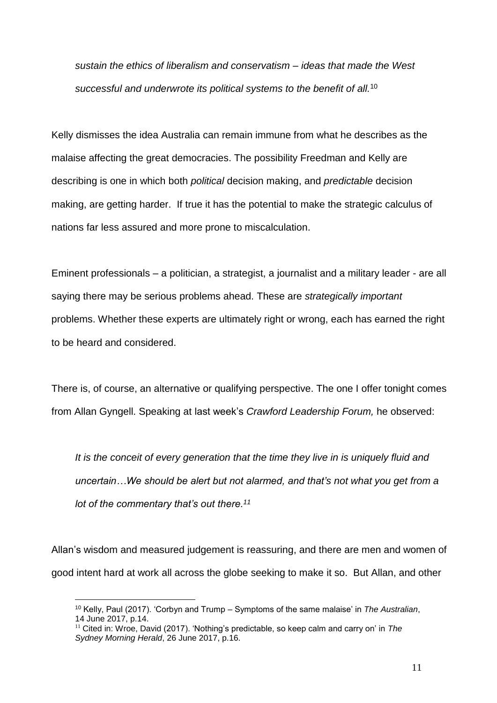*sustain the ethics of liberalism and conservatism – ideas that made the West successful and underwrote its political systems to the benefit of all.*<sup>10</sup>

Kelly dismisses the idea Australia can remain immune from what he describes as the malaise affecting the great democracies. The possibility Freedman and Kelly are describing is one in which both *political* decision making, and *predictable* decision making, are getting harder. If true it has the potential to make the strategic calculus of nations far less assured and more prone to miscalculation.

Eminent professionals – a politician, a strategist, a journalist and a military leader - are all saying there may be serious problems ahead. These are *strategically important* problems. Whether these experts are ultimately right or wrong, each has earned the right to be heard and considered.

There is, of course, an alternative or qualifying perspective. The one I offer tonight comes from Allan Gyngell. Speaking at last week's *Crawford Leadership Forum,* he observed:

*It is the conceit of every generation that the time they live in is uniquely fluid and uncertain…We should be alert but not alarmed, and that's not what you get from a lot of the commentary that's out there.<sup>11</sup>*

Allan's wisdom and measured judgement is reassuring, and there are men and women of good intent hard at work all across the globe seeking to make it so. But Allan, and other

<sup>10</sup> Kelly, Paul (2017). 'Corbyn and Trump – Symptoms of the same malaise' in *The Australian*, 14 June 2017, p.14.

<sup>11</sup> Cited in: Wroe, David (2017). 'Nothing's predictable, so keep calm and carry on' in *The Sydney Morning Herald*, 26 June 2017, p.16.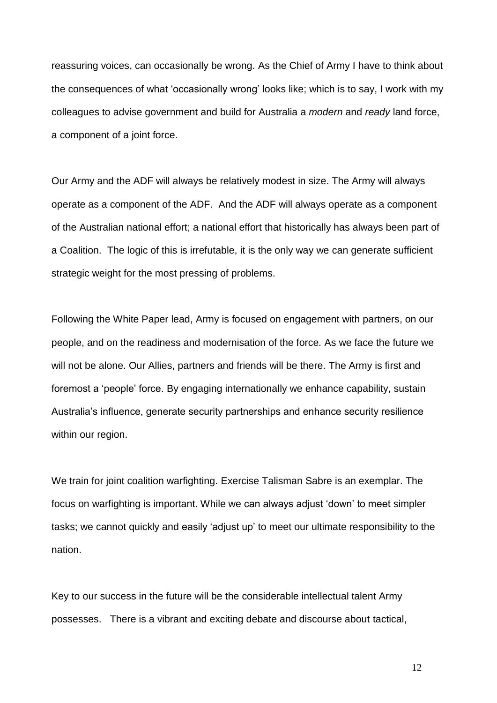reassuring voices, can occasionally be wrong. As the Chief of Army I have to think about the consequences of what 'occasionally wrong' looks like; which is to say, I work with my colleagues to advise government and build for Australia a *modern* and *ready* land force, a component of a joint force.

Our Army and the ADF will always be relatively modest in size. The Army will always operate as a component of the ADF. And the ADF will always operate as a component of the Australian national effort; a national effort that historically has always been part of a Coalition. The logic of this is irrefutable, it is the only way we can generate sufficient strategic weight for the most pressing of problems.

Following the White Paper lead, Army is focused on engagement with partners, on our people, and on the readiness and modernisation of the force. As we face the future we will not be alone. Our Allies, partners and friends will be there. The Army is first and foremost a 'people' force. By engaging internationally we enhance capability, sustain Australia's influence, generate security partnerships and enhance security resilience within our region.

We train for joint coalition warfighting. Exercise Talisman Sabre is an exemplar. The focus on warfighting is important. While we can always adjust 'down' to meet simpler tasks; we cannot quickly and easily 'adjust up' to meet our ultimate responsibility to the nation.

Key to our success in the future will be the considerable intellectual talent Army possesses. There is a vibrant and exciting debate and discourse about tactical,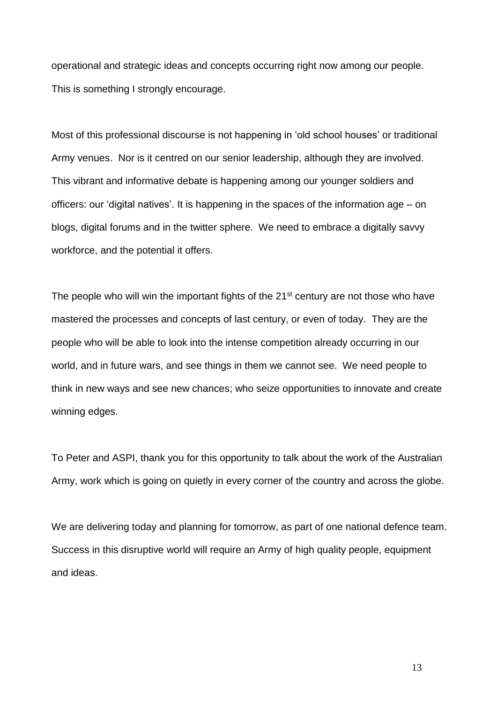operational and strategic ideas and concepts occurring right now among our people. This is something I strongly encourage.

Most of this professional discourse is not happening in 'old school houses' or traditional Army venues. Nor is it centred on our senior leadership, although they are involved. This vibrant and informative debate is happening among our younger soldiers and officers: our 'digital natives'. It is happening in the spaces of the information age – on blogs, digital forums and in the twitter sphere. We need to embrace a digitally savvy workforce, and the potential it offers.

The people who will win the important fights of the  $21<sup>st</sup>$  century are not those who have mastered the processes and concepts of last century, or even of today. They are the people who will be able to look into the intense competition already occurring in our world, and in future wars, and see things in them we cannot see. We need people to think in new ways and see new chances; who seize opportunities to innovate and create winning edges.

To Peter and ASPI, thank you for this opportunity to talk about the work of the Australian Army, work which is going on quietly in every corner of the country and across the globe.

We are delivering today and planning for tomorrow, as part of one national defence team. Success in this disruptive world will require an Army of high quality people, equipment and ideas.